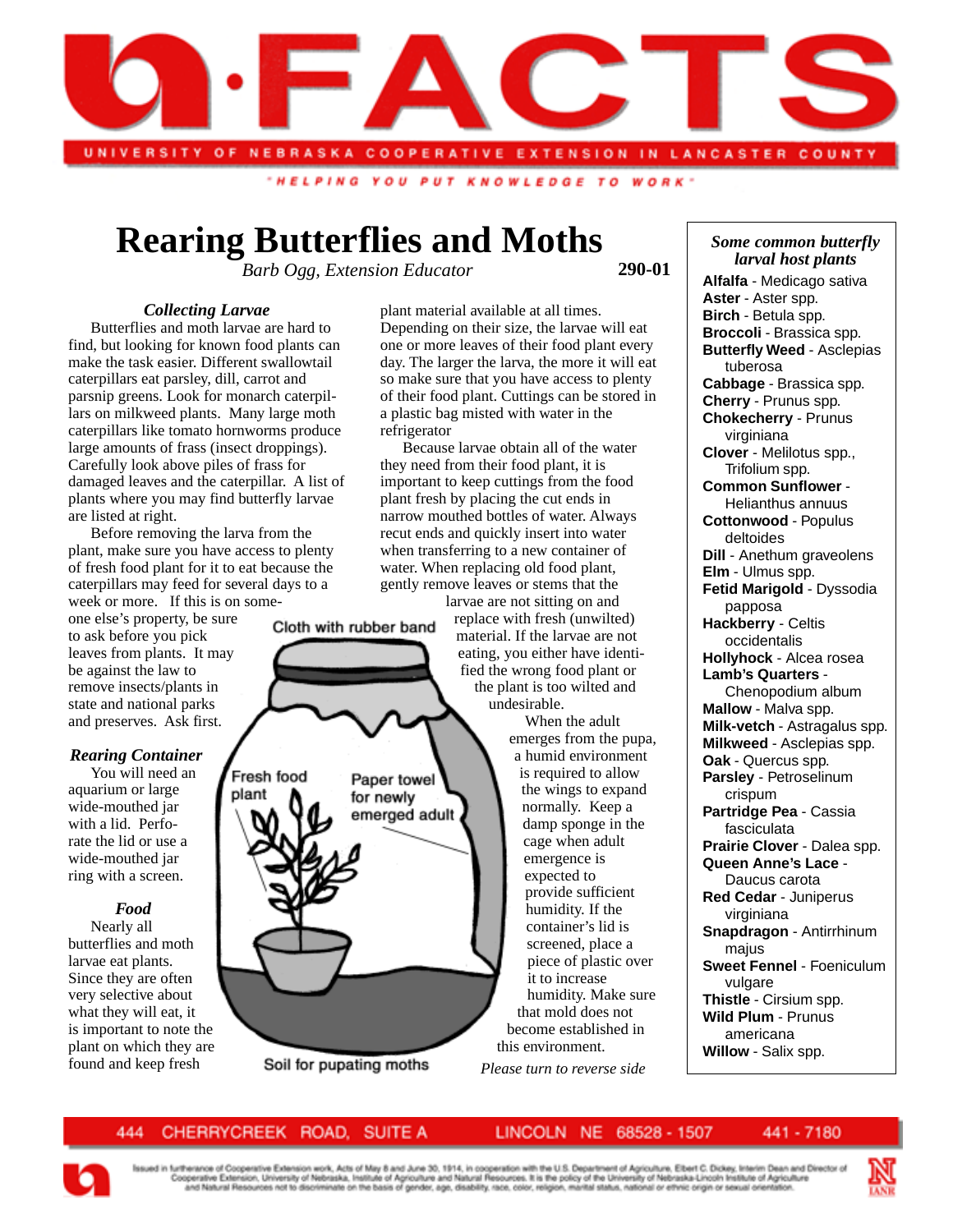

"HELPING YOU PUT KNOWLEDGE TO WORK

# **Rearing Butterflies and Moths**

*Barb Ogg, Extension Educator*

Cloth with rubber band

Paper towel

for newly emerged adult

Soil for pupating moths

**290-01**

## *Collecting Larvae*

Butterflies and moth larvae are hard to find, but looking for known food plants can make the task easier. Different swallowtail caterpillars eat parsley, dill, carrot and parsnip greens. Look for monarch caterpillars on milkweed plants. Many large moth caterpillars like tomato hornworms produce large amounts of frass (insect droppings). Carefully look above piles of frass for damaged leaves and the caterpillar. A list of plants where you may find butterfly larvae are listed at right.

Before removing the larva from the plant, make sure you have access to plenty of fresh food plant for it to eat because the caterpillars may feed for several days to a week or more. If this is on some-

one else's property, be sure to ask before you pick leaves from plants. It may be against the law to remove insects/plants in state and national parks and preserves. Ask first.

# *Rearing Container*

You will need an aquarium or large wide-mouthed jar with a lid. Perforate the lid or use a wide-mouthed jar ring with a screen.

# *Food*

Nearly all butterflies and moth larvae eat plants. Since they are often very selective about what they will eat, it is important to note the plant on which they are found and keep fresh

plant material available at all times. Depending on their size, the larvae will eat one or more leaves of their food plant every day. The larger the larva, the more it will eat so make sure that you have access to plenty of their food plant. Cuttings can be stored in a plastic bag misted with water in the refrigerator

Because larvae obtain all of the water they need from their food plant, it is important to keep cuttings from the food plant fresh by placing the cut ends in narrow mouthed bottles of water. Always recut ends and quickly insert into water when transferring to a new container of water. When replacing old food plant, gently remove leaves or stems that the

larvae are not sitting on and replace with fresh (unwilted) material. If the larvae are not eating, you either have identified the wrong food plant or the plant is too wilted and undesirable.

> When the adult emerges from the pupa, a humid environment is required to allow the wings to expand normally. Keep a damp sponge in the cage when adult emergence is expected to provide sufficient humidity. If the container's lid is screened, place a piece of plastic over it to increase humidity. Make sure that mold does not become established in this environment.

*Please turn to reverse side*

*Some common butterfly larval host plants* **Alfalfa** - Medicago sativa **Aster** - Aster spp. **Birch** - Betula spp. **Broccoli** - Brassica spp. **Butterfly Weed** - Asclepias tuberosa **Cabbage** - Brassica spp. **Cherry** - Prunus spp. **Chokecherry** - Prunus virginiana **Clover** - Melilotus spp., Trifolium spp. **Common Sunflower** - Helianthus annuus **Cottonwood** - Populus deltoides **Dill** - Anethum graveolens **Elm** - Ulmus spp. **Fetid Marigold** - Dyssodia papposa **Hackberry** - Celtis occidentalis **Hollyhock** - Alcea rosea **Lamb's Quarters** - Chenopodium album **Mallow** - Malva spp. **Milk-vetch** - Astragalus spp. **Milkweed** - Asclepias spp. **Oak** - Quercus spp. **Parsley** - Petroselinum crispum **Partridge Pea** - Cassia fasciculata **Prairie Clover** - Dalea spp. **Queen Anne's Lace** - Daucus carota **Red Cedar** - Juniperus virginiana **Snapdragon** - Antirrhinum majus **Sweet Fennel** - Foeniculum vulgare **Thistle** - Cirsium spp. **Wild Plum** - Prunus americana **Willow** - Salix spp.

#### LINCOLN NE 68528 - 1507

441 - 7180



Fresh food

plant

riherance of Cooperative Extension work, Acts of May 8 and June 30, 1914, in cooperation with the U.S. Department of Agriculture, Elbert C. Dickey, Interim Dean and Director of<br>ooperative Extension, University of Nebraska,